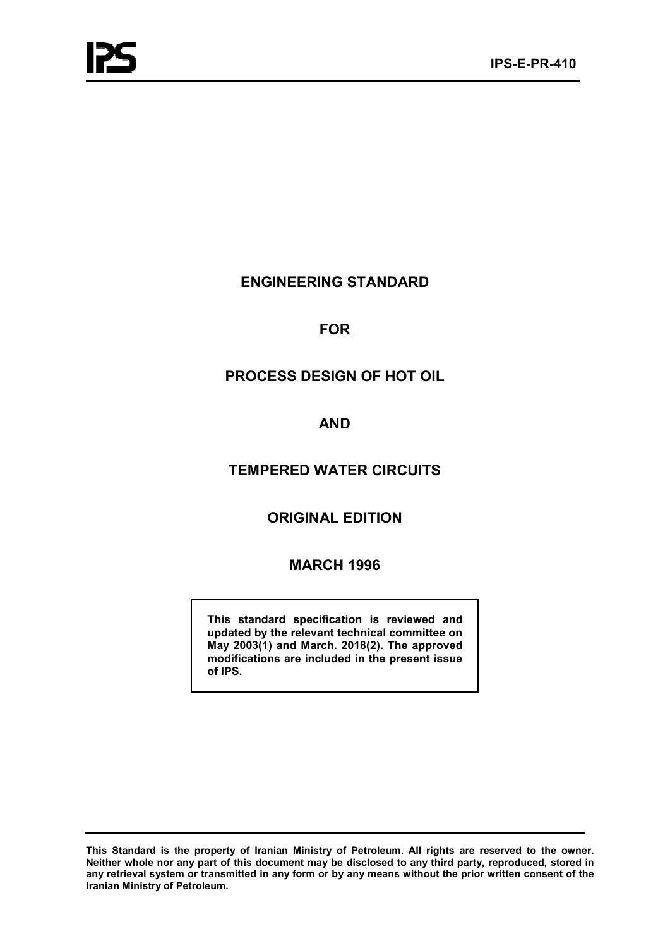# **ENGINEERING STANDARD**

# **FOR**

# **PROCESS DESIGN OF HOT OIL**

# **AND**

# **TEMPERED WATER CIRCUITS**

# **ORIGINAL EDITION**

# **MARCH 1996**

**This standard specification is reviewed and updated by the relevant technical committee on May 2003(1) and March. 2018(2). The approved modifications are included in the present issue of IPS.**

**This Standard is the property of Iranian Ministry of Petroleum. All rights are reserved to the owner. Neither whole nor any part of this document may be disclosed to any third party, reproduced, stored in any retrieval system or transmitted in any form or by any means without the prior written consent of the Iranian Ministry of Petroleum.**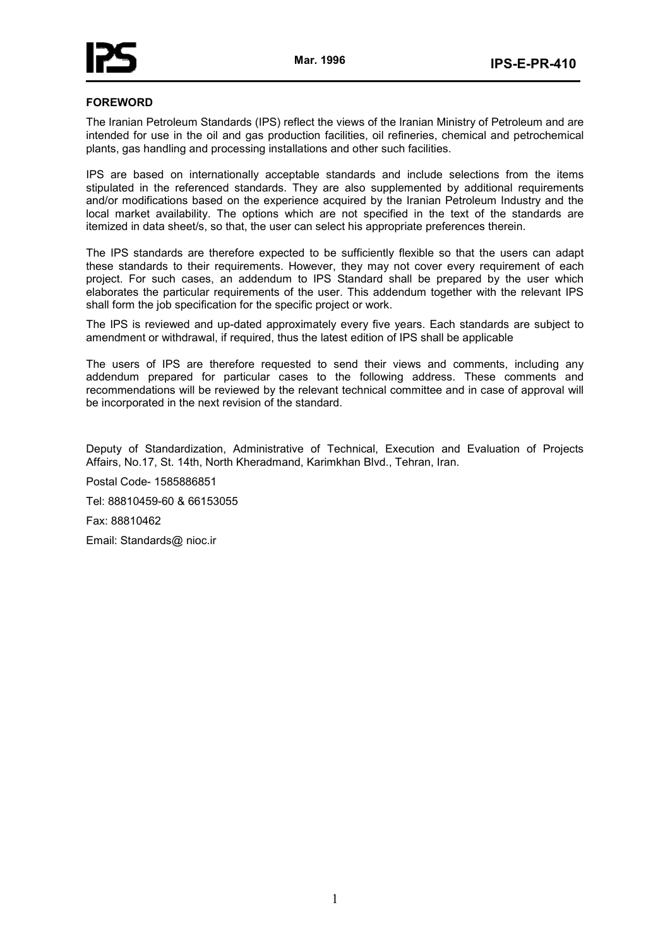## **FOREWORD**

The Iranian Petroleum Standards (IPS) reflect the views of the Iranian Ministry of Petroleum and are intended for use in the oil and gas production facilities, oil refineries, chemical and petrochemical plants, gas handling and processing installations and other such facilities.

IPS are based on internationally acceptable standards and include selections from the items stipulated in the referenced standards. They are also supplemented by additional requirements and/or modifications based on the experience acquired by the Iranian Petroleum Industry and the local market availability. The options which are not specified in the text of the standards are itemized in data sheet/s, so that, the user can select his appropriate preferences therein.

The IPS standards are therefore expected to be sufficiently flexible so that the users can adapt these standards to their requirements. However, they may not cover every requirement of each project. For such cases, an addendum to IPS Standard shall be prepared by the user which elaborates the particular requirements of the user. This addendum together with the relevant IPS shall form the job specification for the specific project or work.

The IPS is reviewed and up-dated approximately every five years. Each standards are subject to amendment or withdrawal, if required, thus the latest edition of IPS shall be applicable

The users of IPS are therefore requested to send their views and comments, including any addendum prepared for particular cases to the following address. These comments and recommendations will be reviewed by the relevant technical committee and in case of approval will be incorporated in the next revision of the standard.

Deputy of Standardization, Administrative of Technical, Execution and Evaluation of Projects Affairs, No.17, St. 14th, North Kheradmand, Karimkhan Blvd., Tehran, Iran.

Postal Code- 1585886851 Tel: 88810459-60 & 66153055 Fax: 88810462

Email: Standards@ nioc.ir

1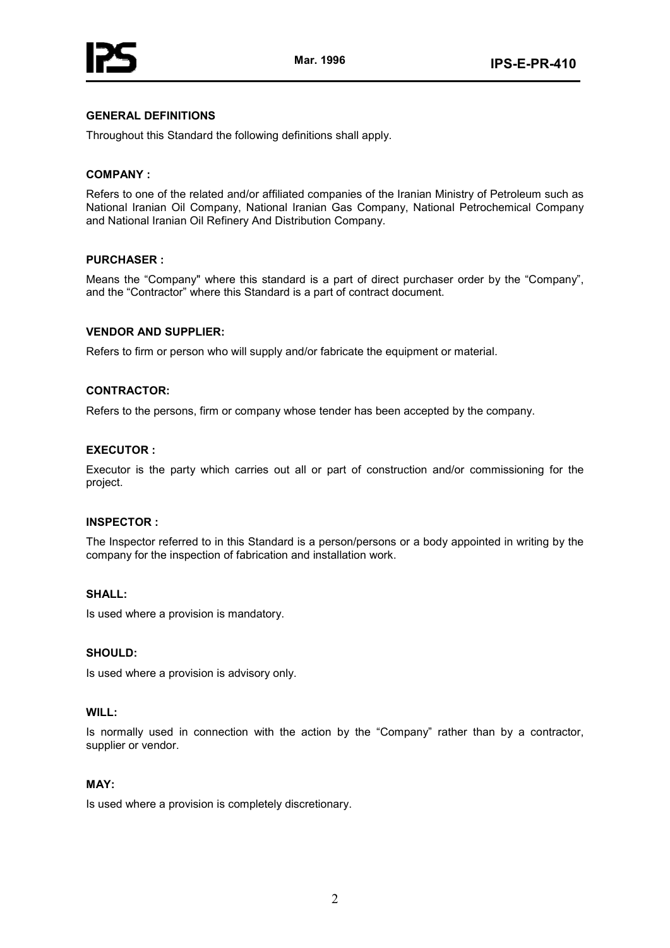

# **GENERAL DEFINITIONS**

Throughout this Standard the following definitions shall apply.

## **COMPANY :**

Refers to one of the related and/or affiliated companies of the Iranian Ministry of Petroleum such as National Iranian Oil Company, National Iranian Gas Company, National Petrochemical Company and National Iranian Oil Refinery And Distribution Company.

#### **PURCHASER :**

Means the "Company" where this standard is a part of direct purchaser order by the "Company", and the "Contractor" where this Standard is a part of contract document.

## **VENDOR AND SUPPLIER:**

Refers to firm or person who will supply and/or fabricate the equipment or material.

# **CONTRACTOR:**

Refers to the persons, firm or company whose tender has been accepted by the company.

## **EXECUTOR :**

Executor is the party which carries out all or part of construction and/or commissioning for the project.

#### **INSPECTOR :**

The Inspector referred to in this Standard is a person/persons or a body appointed in writing by the company for the inspection of fabrication and installation work.

#### **SHALL:**

Is used where a provision is mandatory.

## **SHOULD:**

Is used where a provision is advisory only.

## **WILL:**

Is normally used in connection with the action by the "Company" rather than by a contractor, supplier or vendor.

# **MAY:**

Is used where a provision is completely discretionary.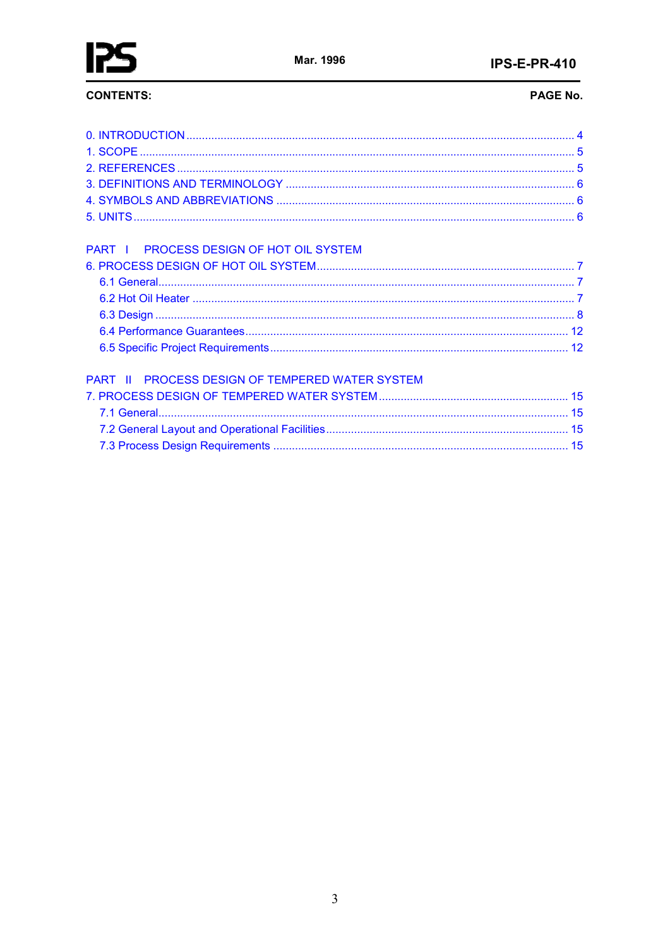

# **CONTENTS:**

# PAGE No.

| PART I PROCESS DESIGN OF HOT OIL SYSTEM         |  |
|-------------------------------------------------|--|
|                                                 |  |
|                                                 |  |
| PART II PROCESS DESIGN OF TEMPERED WATER SYSTEM |  |
|                                                 |  |
|                                                 |  |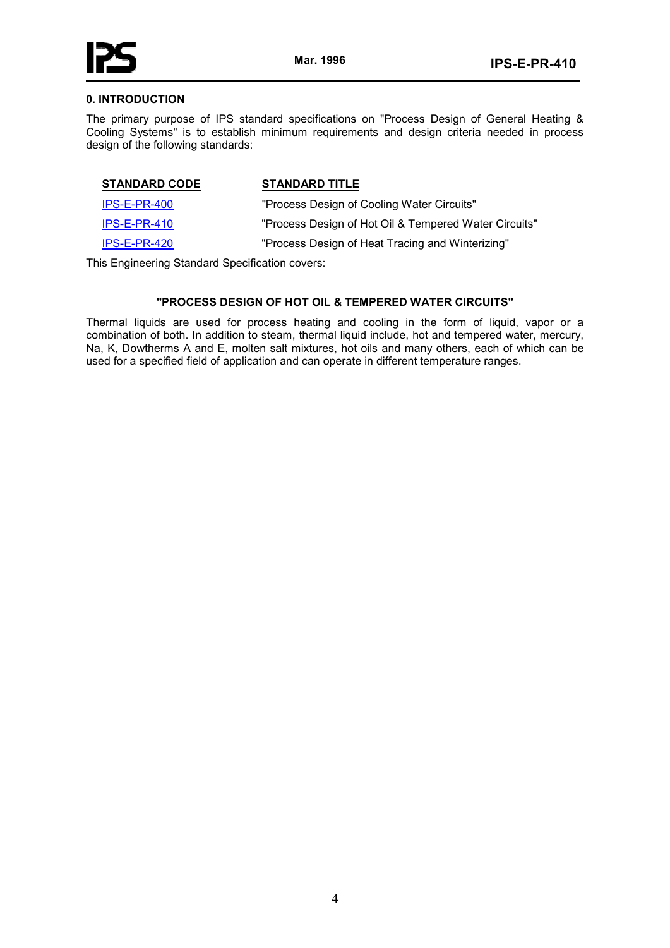

#### **0. INTRODUCTION**

The primary purpose of IPS standard specifications on "Process Design of General Heating & Cooling Systems" is to establish minimum requirements and design criteria needed in process design of the following standards:

| <b>STANDARD CODE</b> | <b>STANDARD TITLE</b>                                 |
|----------------------|-------------------------------------------------------|
| $IPS-E-PR-400$       | "Process Design of Cooling Water Circuits"            |
| <b>IPS-E-PR-410</b>  | "Process Design of Hot Oil & Tempered Water Circuits" |
| $IPS-E-PR-420$       | "Process Design of Heat Tracing and Winterizing"      |

This Engineering Standard Specification covers:

# **"PROCESS DESIGN OF HOT OIL & TEMPERED WATER CIRCUITS"**

Thermal liquids are used for process heating and cooling in the form of liquid, vapor or a combination of both. In addition to steam, thermal liquid include, hot and tempered water, mercury, Na, K, Dowtherms A and E, molten salt mixtures, hot oils and many others, each of which can be used for a specified field of application and can operate in different temperature ranges.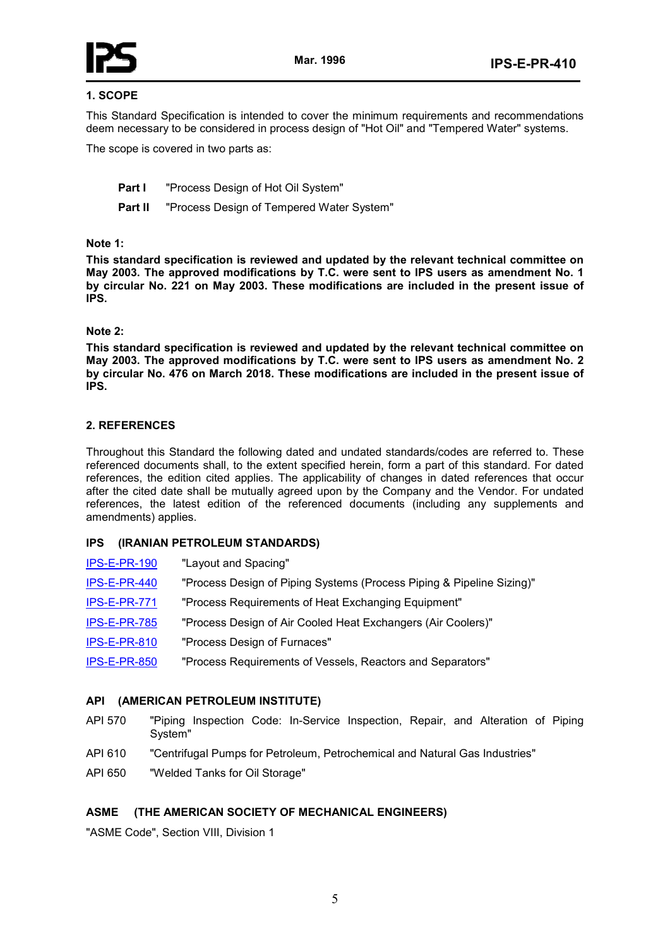

# **1. SCOPE**

This Standard Specification is intended to cover the minimum requirements and recommendations deem necessary to be considered in process design of "Hot Oil" and "Tempered Water" systems.

The scope is covered in two parts as:

- **Part I** "Process Design of Hot Oil System"
- **Part II** "Process Design of Tempered Water System"

## **Note 1:**

**This standard specification is reviewed and updated by the relevant technical committee on May 2003. The approved modifications by T.C. were sent to IPS users as amendment No. 1 by circular No. 221 on May 2003. These modifications are included in the present issue of IPS.** 

## **Note 2:**

**This standard specification is reviewed and updated by the relevant technical committee on May 2003. The approved modifications by T.C. were sent to IPS users as amendment No. 2 by circular No. 476 on March 2018. These modifications are included in the present issue of IPS.** 

# **2. REFERENCES**

Throughout this Standard the following dated and undated standards/codes are referred to. These referenced documents shall, to the extent specified herein, form a part of this standard. For dated references, the edition cited applies. The applicability of changes in dated references that occur after the cited date shall be mutually agreed upon by the Company and the Vendor. For undated references, the latest edition of the referenced documents (including any supplements and amendments) applies.

#### **IPS (IRANIAN PETROLEUM STANDARDS)**

| <b>IPS-E-PR-190</b> | "Layout and Spacing"                                                  |
|---------------------|-----------------------------------------------------------------------|
| <b>IPS-E-PR-440</b> | "Process Design of Piping Systems (Process Piping & Pipeline Sizing)" |
| IPS-E-PR-771        | "Process Requirements of Heat Exchanging Equipment"                   |
| <b>IPS-E-PR-785</b> | "Process Design of Air Cooled Heat Exchangers (Air Coolers)"          |
| <b>IPS-E-PR-810</b> | "Process Design of Furnaces"                                          |
| <b>IPS-E-PR-850</b> | "Process Requirements of Vessels, Reactors and Separators"            |

#### **API (AMERICAN PETROLEUM INSTITUTE)**

- API 570 "Piping Inspection Code: In-Service Inspection, Repair, and Alteration of Piping System"
- API 610 "Centrifugal Pumps for Petroleum, Petrochemical and Natural Gas Industries"
- API 650 "Welded Tanks for Oil Storage"

# **ASME (THE AMERICAN SOCIETY OF MECHANICAL ENGINEERS)**

"ASME Code", Section VIII, Division 1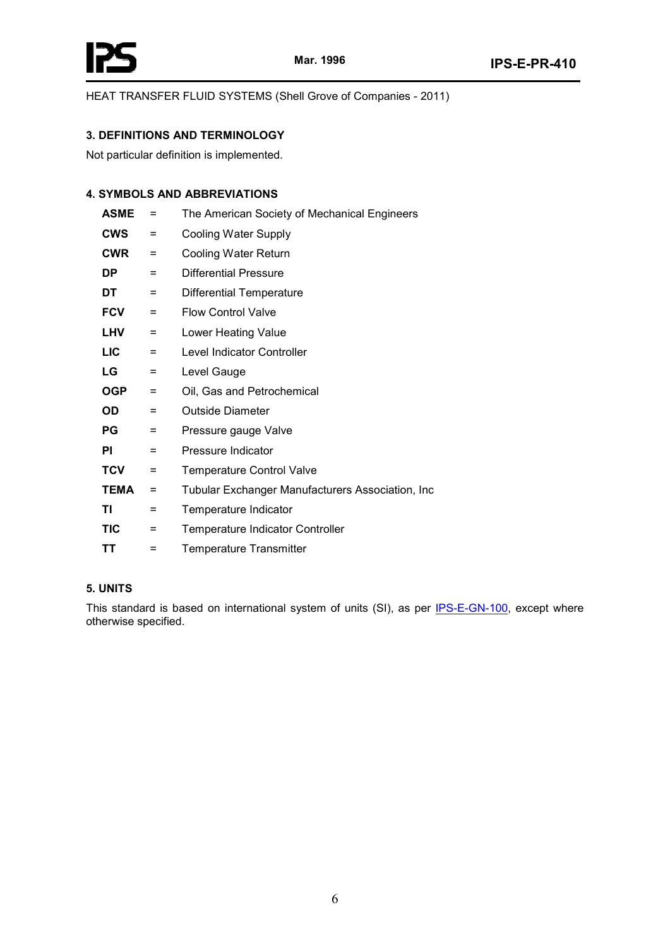

HEAT TRANSFER FLUID SYSTEMS (Shell Grove of Companies - 2011)

# **3. DEFINITIONS AND TERMINOLOGY**

Not particular definition is implemented.

# **4. SYMBOLS AND ABBREVIATIONS**

| <b>ASME</b> | $=$      | The American Society of Mechanical Engineers      |
|-------------|----------|---------------------------------------------------|
| <b>CWS</b>  | $=$      | Cooling Water Supply                              |
| <b>CWR</b>  | $=$      | <b>Cooling Water Return</b>                       |
| DP          | =        | <b>Differential Pressure</b>                      |
| DT          | Ξ        | <b>Differential Temperature</b>                   |
| <b>FCV</b>  | $=$      | <b>Flow Control Valve</b>                         |
| <b>LHV</b>  | $=$      | <b>Lower Heating Value</b>                        |
| <b>LIC</b>  | $=$      | Level Indicator Controller                        |
| LG          | Ξ        | Level Gauge                                       |
| <b>OGP</b>  | $=$      | Oil, Gas and Petrochemical                        |
| OD          | Ξ        | Outside Diameter                                  |
| РG          | Ξ        | Pressure gauge Valve                              |
| ΡI          | =        | Pressure Indicator                                |
| <b>TCV</b>  | $\equiv$ | <b>Temperature Control Valve</b>                  |
| <b>TEMA</b> | Ξ        | Tubular Exchanger Manufacturers Association, Inc. |
| ΤI          | $\equiv$ | Temperature Indicator                             |
| <b>TIC</b>  | Ξ        | <b>Temperature Indicator Controller</b>           |
| ΤT          | Ξ        | <b>Temperature Transmitter</b>                    |

# **5. UNITS**

This standard is based on international system of units (SI), as per IPS-E-GN-100, except where otherwise specified.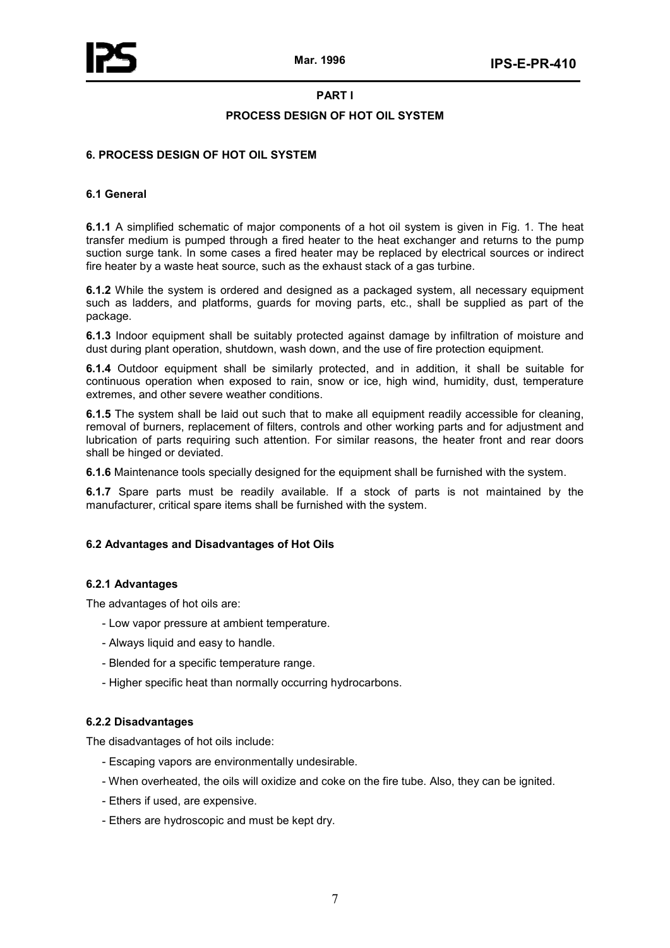#### **PART I**

## **PROCESS DESIGN OF HOT OIL SYSTEM**

## **6. PROCESS DESIGN OF HOT OIL SYSTEM**

## **6.1 General**

**6.1.1** A simplified schematic of major components of a hot oil system is given in Fig. 1. The heat transfer medium is pumped through a fired heater to the heat exchanger and returns to the pump suction surge tank. In some cases a fired heater may be replaced by electrical sources or indirect fire heater by a waste heat source, such as the exhaust stack of a gas turbine.

**6.1.2** While the system is ordered and designed as a packaged system, all necessary equipment such as ladders, and platforms, guards for moving parts, etc., shall be supplied as part of the package.

**6.1.3** Indoor equipment shall be suitably protected against damage by infiltration of moisture and dust during plant operation, shutdown, wash down, and the use of fire protection equipment.

**6.1.4** Outdoor equipment shall be similarly protected, and in addition, it shall be suitable for continuous operation when exposed to rain, snow or ice, high wind, humidity, dust, temperature extremes, and other severe weather conditions.

**6.1.5** The system shall be laid out such that to make all equipment readily accessible for cleaning, removal of burners, replacement of filters, controls and other working parts and for adjustment and lubrication of parts requiring such attention. For similar reasons, the heater front and rear doors shall be hinged or deviated.

**6.1.6** Maintenance tools specially designed for the equipment shall be furnished with the system.

**6.1.7** Spare parts must be readily available. If a stock of parts is not maintained by the manufacturer, critical spare items shall be furnished with the system.

# **6.2 Advantages and Disadvantages of Hot Oils**

#### **6.2.1 Advantages**

The advantages of hot oils are:

- Low vapor pressure at ambient temperature.
- Always liquid and easy to handle.
- Blended for a specific temperature range.
- Higher specific heat than normally occurring hydrocarbons.

#### **6.2.2 Disadvantages**

The disadvantages of hot oils include:

- Escaping vapors are environmentally undesirable.
- When overheated, the oils will oxidize and coke on the fire tube. Also, they can be ignited.
- Ethers if used, are expensive.
- Ethers are hydroscopic and must be kept dry.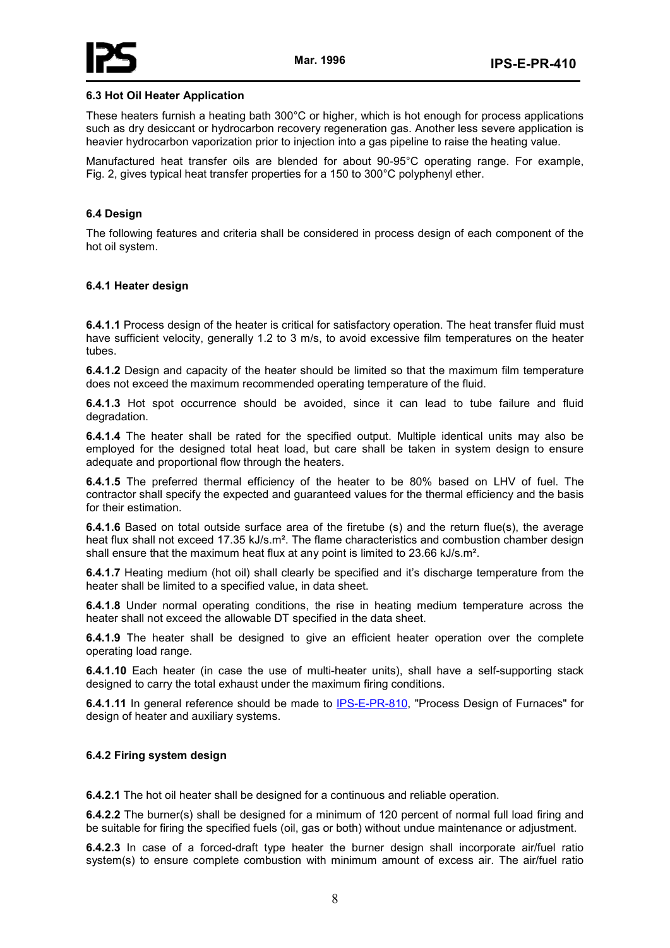

## **6.3 Hot Oil Heater Application**

These heaters furnish a heating bath 300°C or higher, which is hot enough for process applications such as dry desiccant or hydrocarbon recovery regeneration gas. Another less severe application is heavier hydrocarbon vaporization prior to injection into a gas pipeline to raise the heating value.

Manufactured heat transfer oils are blended for about 90-95°C operating range. For example, Fig. 2, gives typical heat transfer properties for a 150 to 300°C polyphenyl ether.

#### **6.4 Design**

The following features and criteria shall be considered in process design of each component of the hot oil system.

## **6.4.1 Heater design**

**6.4.1.1** Process design of the heater is critical for satisfactory operation. The heat transfer fluid must have sufficient velocity, generally 1.2 to 3 m/s, to avoid excessive film temperatures on the heater tubes.

**6.4.1.2** Design and capacity of the heater should be limited so that the maximum film temperature does not exceed the maximum recommended operating temperature of the fluid.

**6.4.1.3** Hot spot occurrence should be avoided, since it can lead to tube failure and fluid degradation.

**6.4.1.4** The heater shall be rated for the specified output. Multiple identical units may also be employed for the designed total heat load, but care shall be taken in system design to ensure adequate and proportional flow through the heaters.

**6.4.1.5** The preferred thermal efficiency of the heater to be 80% based on LHV of fuel. The contractor shall specify the expected and guaranteed values for the thermal efficiency and the basis for their estimation.

**6.4.1.6** Based on total outside surface area of the firetube (s) and the return flue(s), the average heat flux shall not exceed 17.35 kJ/s.m<sup>2</sup>. The flame characteristics and combustion chamber design shall ensure that the maximum heat flux at any point is limited to 23.66 kJ/s.m².

**6.4.1.7** Heating medium (hot oil) shall clearly be specified and it's discharge temperature from the heater shall be limited to a specified value, in data sheet.

**6.4.1.8** Under normal operating conditions, the rise in heating medium temperature across the heater shall not exceed the allowable DT specified in the data sheet.

**6.4.1.9** The heater shall be designed to give an efficient heater operation over the complete operating load range.

**6.4.1.10** Each heater (in case the use of multi-heater units), shall have a self-supporting stack designed to carry the total exhaust under the maximum firing conditions.

**6.4.1.11** In general reference should be made to IPS-E-PR-810, "Process Design of Furnaces" for design of heater and auxiliary systems.

#### **6.4.2 Firing system design**

**6.4.2.1** The hot oil heater shall be designed for a continuous and reliable operation.

**6.4.2.2** The burner(s) shall be designed for a minimum of 120 percent of normal full load firing and be suitable for firing the specified fuels (oil, gas or both) without undue maintenance or adjustment.

**6.4.2.3** In case of a forced-draft type heater the burner design shall incorporate air/fuel ratio system(s) to ensure complete combustion with minimum amount of excess air. The air/fuel ratio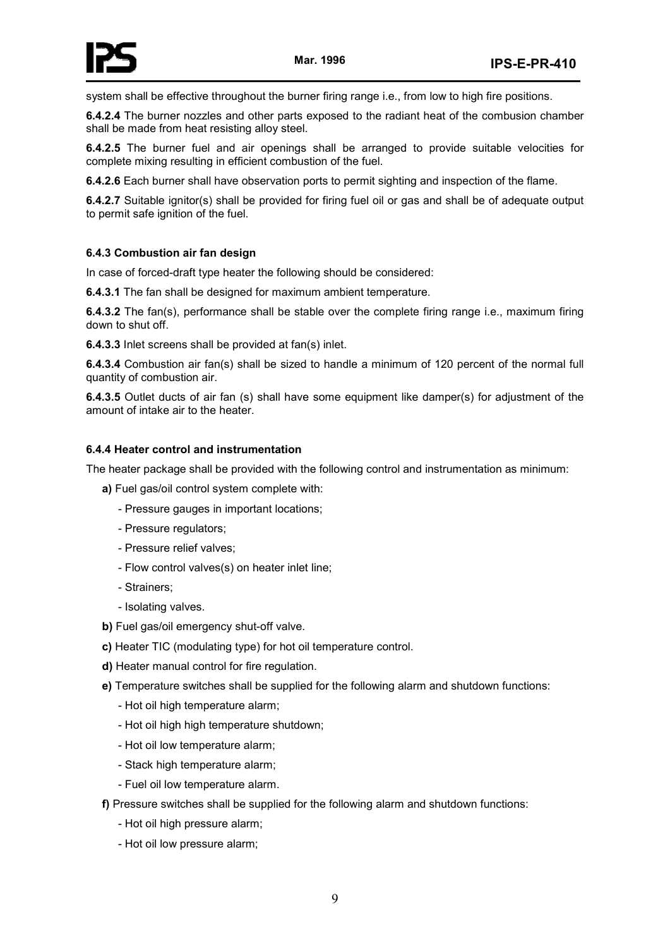

system shall be effective throughout the burner firing range i.e., from low to high fire positions.

**6.4.2.4** The burner nozzles and other parts exposed to the radiant heat of the combusion chamber shall be made from heat resisting alloy steel.

**6.4.2.5** The burner fuel and air openings shall be arranged to provide suitable velocities for complete mixing resulting in efficient combustion of the fuel.

**6.4.2.6** Each burner shall have observation ports to permit sighting and inspection of the flame.

**6.4.2.7** Suitable ignitor(s) shall be provided for firing fuel oil or gas and shall be of adequate output to permit safe ignition of the fuel.

# **6.4.3 Combustion air fan design**

In case of forced-draft type heater the following should be considered:

**6.4.3.1** The fan shall be designed for maximum ambient temperature.

**6.4.3.2** The fan(s), performance shall be stable over the complete firing range i.e., maximum firing down to shut off.

**6.4.3.3** Inlet screens shall be provided at fan(s) inlet.

**6.4.3.4** Combustion air fan(s) shall be sized to handle a minimum of 120 percent of the normal full quantity of combustion air.

**6.4.3.5** Outlet ducts of air fan (s) shall have some equipment like damper(s) for adjustment of the amount of intake air to the heater.

# **6.4.4 Heater control and instrumentation**

The heater package shall be provided with the following control and instrumentation as minimum:

**a)** Fuel gas/oil control system complete with:

- Pressure gauges in important locations;
- Pressure regulators;
- Pressure relief valves;
- Flow control valves(s) on heater inlet line;
- Strainers;
- Isolating valves.
- **b)** Fuel gas/oil emergency shut-off valve.
- **c)** Heater TIC (modulating type) for hot oil temperature control.
- **d)** Heater manual control for fire regulation.
- **e)** Temperature switches shall be supplied for the following alarm and shutdown functions:
	- Hot oil high temperature alarm;
	- Hot oil high high temperature shutdown;
	- Hot oil low temperature alarm;
	- Stack high temperature alarm;
	- Fuel oil low temperature alarm.
- **f)** Pressure switches shall be supplied for the following alarm and shutdown functions:
	- Hot oil high pressure alarm;
	- Hot oil low pressure alarm;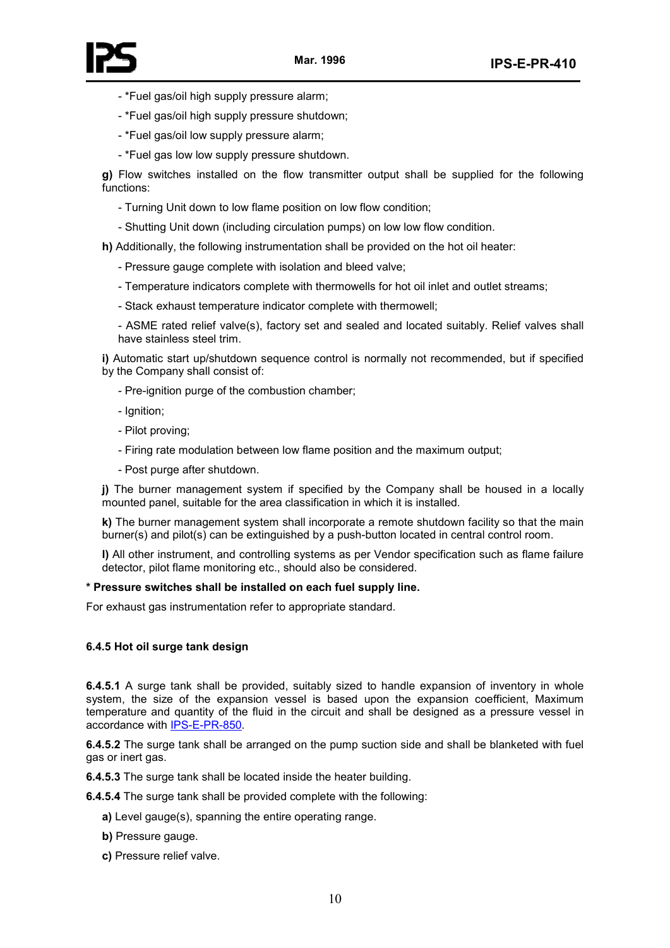

- \*Fuel gas/oil high supply pressure alarm;
- \*Fuel gas/oil high supply pressure shutdown;
- \*Fuel gas/oil low supply pressure alarm;
- \*Fuel gas low low supply pressure shutdown.

**g)** Flow switches installed on the flow transmitter output shall be supplied for the following functions:

- Turning Unit down to low flame position on low flow condition;
- Shutting Unit down (including circulation pumps) on low low flow condition.

**h)** Additionally, the following instrumentation shall be provided on the hot oil heater:

- Pressure gauge complete with isolation and bleed valve;
- Temperature indicators complete with thermowells for hot oil inlet and outlet streams;
- Stack exhaust temperature indicator complete with thermowell;

- ASME rated relief valve(s), factory set and sealed and located suitably. Relief valves shall have stainless steel trim.

**i)** Automatic start up/shutdown sequence control is normally not recommended, but if specified by the Company shall consist of:

- Pre-ignition purge of the combustion chamber;
- Ignition;
- Pilot proving;
- Firing rate modulation between low flame position and the maximum output;
- Post purge after shutdown.

**j)** The burner management system if specified by the Company shall be housed in a locally mounted panel, suitable for the area classification in which it is installed.

**k)** The burner management system shall incorporate a remote shutdown facility so that the main burner(s) and pilot(s) can be extinguished by a push-button located in central control room.

**l)** All other instrument, and controlling systems as per Vendor specification such as flame failure detector, pilot flame monitoring etc., should also be considered.

#### **\* Pressure switches shall be installed on each fuel supply line.**

For exhaust gas instrumentation refer to appropriate standard.

#### **6.4.5 Hot oil surge tank design**

**6.4.5.1** A surge tank shall be provided, suitably sized to handle expansion of inventory in whole system, the size of the expansion vessel is based upon the expansion coefficient, Maximum temperature and quantity of the fluid in the circuit and shall be designed as a pressure vessel in accordance with IPS-E-PR-850.

**6.4.5.2** The surge tank shall be arranged on the pump suction side and shall be blanketed with fuel gas or inert gas.

**6.4.5.3** The surge tank shall be located inside the heater building.

**6.4.5.4** The surge tank shall be provided complete with the following:

- **a)** Level gauge(s), spanning the entire operating range.
- **b)** Pressure gauge.
- **c)** Pressure relief valve.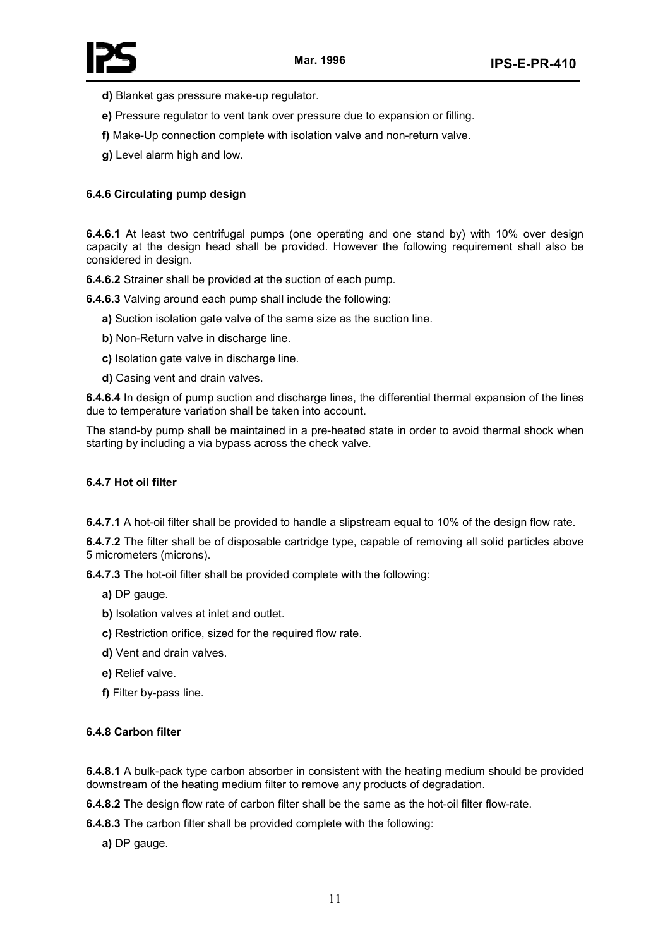- **d)** Blanket gas pressure make-up regulator.
- **e)** Pressure regulator to vent tank over pressure due to expansion or filling.
- **f)** Make-Up connection complete with isolation valve and non-return valve.
- **g)** Level alarm high and low.

# **6.4.6 Circulating pump design**

**6.4.6.1** At least two centrifugal pumps (one operating and one stand by) with 10% over design capacity at the design head shall be provided. However the following requirement shall also be considered in design.

**6.4.6.2** Strainer shall be provided at the suction of each pump.

**6.4.6.3** Valving around each pump shall include the following:

- **a)** Suction isolation gate valve of the same size as the suction line.
- **b)** Non-Return valve in discharge line.
- **c)** Isolation gate valve in discharge line.
- **d)** Casing vent and drain valves.

**6.4.6.4** In design of pump suction and discharge lines, the differential thermal expansion of the lines due to temperature variation shall be taken into account.

The stand-by pump shall be maintained in a pre-heated state in order to avoid thermal shock when starting by including a via bypass across the check valve.

#### **6.4.7 Hot oil filter**

**6.4.7.1** A hot-oil filter shall be provided to handle a slipstream equal to 10% of the design flow rate.

**6.4.7.2** The filter shall be of disposable cartridge type, capable of removing all solid particles above 5 micrometers (microns).

**6.4.7.3** The hot-oil filter shall be provided complete with the following:

- **a)** DP gauge.
- **b)** Isolation valves at inlet and outlet.
- **c)** Restriction orifice, sized for the required flow rate.
- **d)** Vent and drain valves.
- **e)** Relief valve.
- **f)** Filter by-pass line.

#### **6.4.8 Carbon filter**

**6.4.8.1** A bulk-pack type carbon absorber in consistent with the heating medium should be provided downstream of the heating medium filter to remove any products of degradation.

**6.4.8.2** The design flow rate of carbon filter shall be the same as the hot-oil filter flow-rate.

**6.4.8.3** The carbon filter shall be provided complete with the following:

**a)** DP gauge.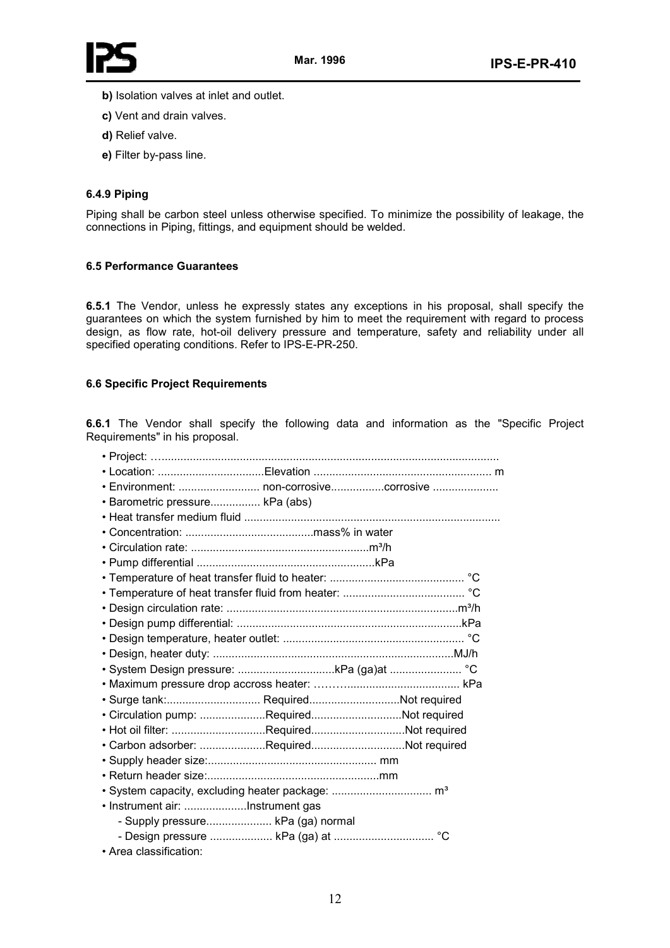

- **b)** Isolation valves at inlet and outlet.
- **c)** Vent and drain valves.
- **d)** Relief valve.
- **e)** Filter by-pass line.

# **6.4.9 Piping**

Piping shall be carbon steel unless otherwise specified. To minimize the possibility of leakage, the connections in Piping, fittings, and equipment should be welded.

## **6.5 Performance Guarantees**

**6.5.1** The Vendor, unless he expressly states any exceptions in his proposal, shall specify the guarantees on which the system furnished by him to meet the requirement with regard to process design, as flow rate, hot-oil delivery pressure and temperature, safety and reliability under all specified operating conditions. Refer to IPS-E-PR-250.

# **6.6 Specific Project Requirements**

**6.6.1** The Vendor shall specify the following data and information as the "Specific Project Requirements" in his proposal.

| • Environment:  non-corrosivecorrosive   |  |
|------------------------------------------|--|
| · Barometric pressure kPa (abs)          |  |
|                                          |  |
|                                          |  |
|                                          |  |
|                                          |  |
|                                          |  |
|                                          |  |
|                                          |  |
|                                          |  |
|                                          |  |
|                                          |  |
|                                          |  |
| • System Design pressure: kPa (ga)at  °C |  |
|                                          |  |
| · Surge tank: RequiredNot required       |  |
| · Circulation pump: RequiredNot required |  |
| • Hot oil filter: RequiredNot required   |  |
| · Carbon adsorber: RequiredNot required  |  |
|                                          |  |
|                                          |  |
|                                          |  |
| • Instrument air: Instrument gas         |  |
| - Supply pressure kPa (ga) normal        |  |
|                                          |  |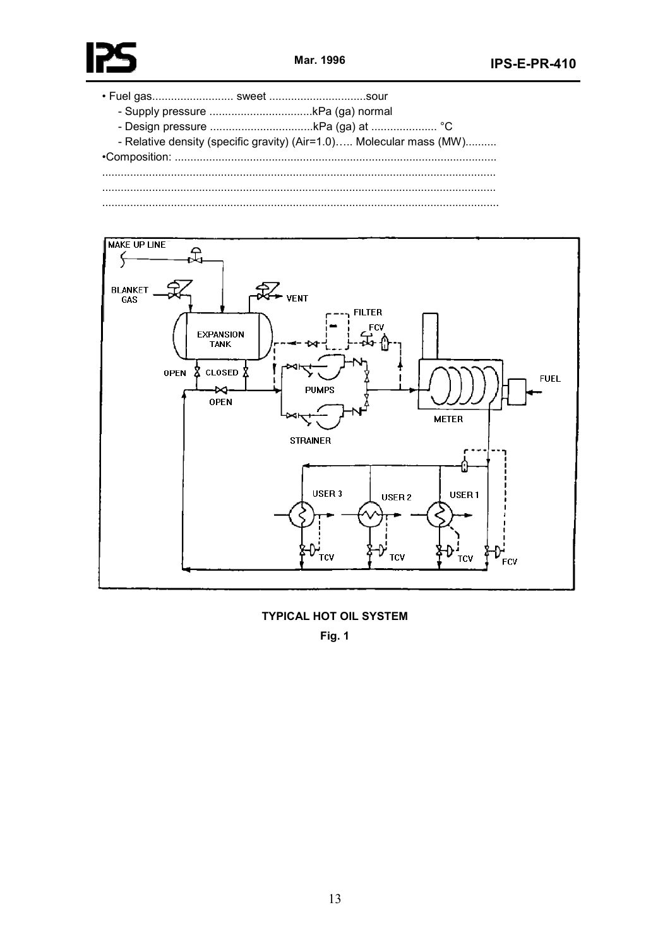

- Relative density (specific gravity) (Air=1.0)..... Molecular mass (MW).......... 



**TYPICAL HOT OIL SYSTEM** 

**Fig. 1**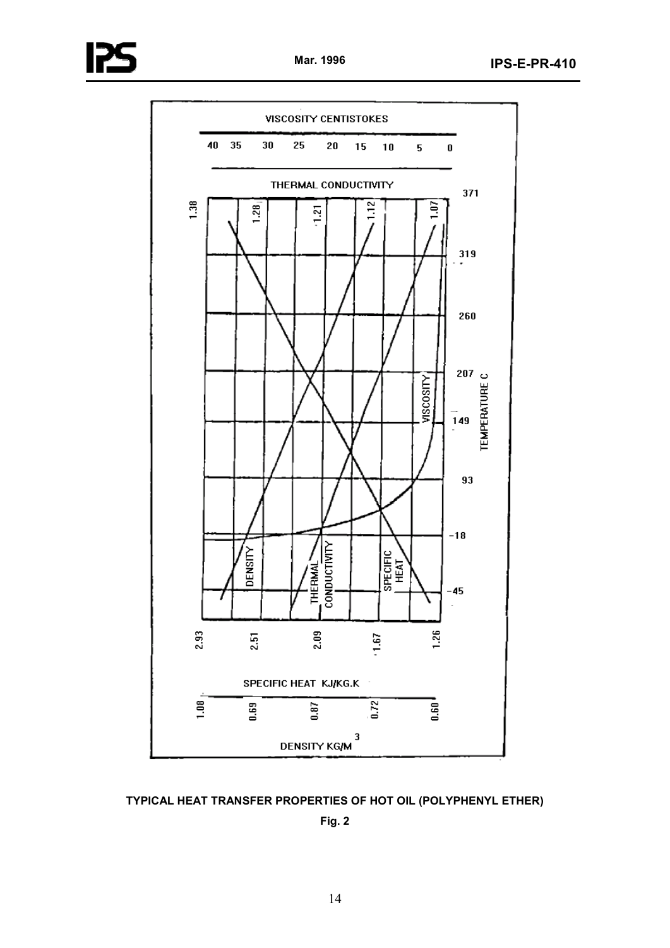

**TYPICAL HEAT TRANSFER PROPERTIES OF HOT OIL (POLYPHENYL ETHER)** 

**Fig. 2**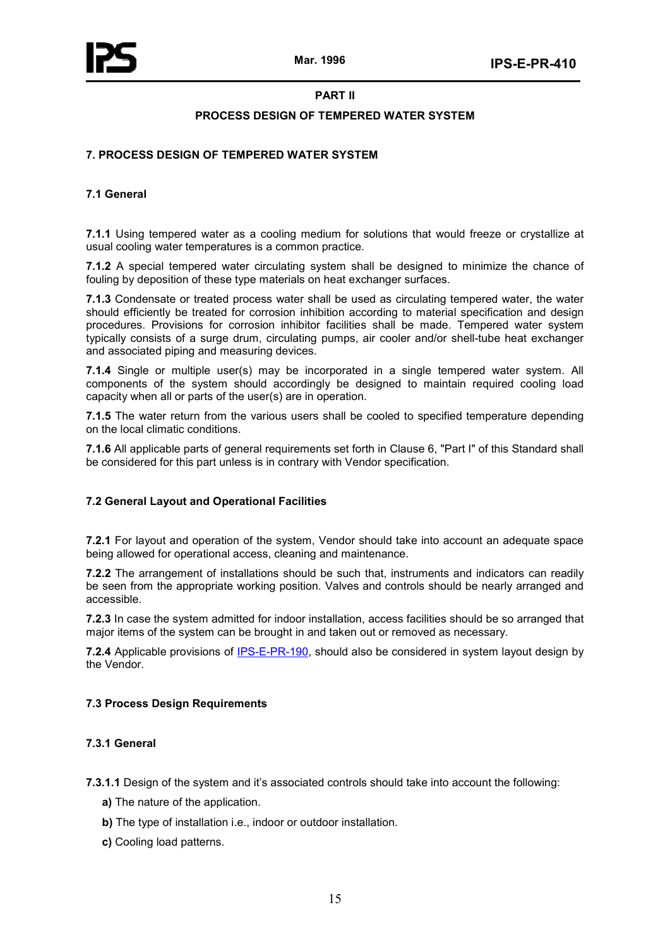

# **PART II**

## **PROCESS DESIGN OF TEMPERED WATER SYSTEM**

# **7. PROCESS DESIGN OF TEMPERED WATER SYSTEM**

# **7.1 General**

**7.1.1** Using tempered water as a cooling medium for solutions that would freeze or crystallize at usual cooling water temperatures is a common practice.

**7.1.2** A special tempered water circulating system shall be designed to minimize the chance of fouling by deposition of these type materials on heat exchanger surfaces.

**7.1.3** Condensate or treated process water shall be used as circulating tempered water, the water should efficiently be treated for corrosion inhibition according to material specification and design procedures. Provisions for corrosion inhibitor facilities shall be made. Tempered water system typically consists of a surge drum, circulating pumps, air cooler and/or shell-tube heat exchanger and associated piping and measuring devices.

**7.1.4** Single or multiple user(s) may be incorporated in a single tempered water system. All components of the system should accordingly be designed to maintain required cooling load capacity when all or parts of the user(s) are in operation.

**7.1.5** The water return from the various users shall be cooled to specified temperature depending on the local climatic conditions.

**7.1.6** All applicable parts of general requirements set forth in Clause 6, "Part I" of this Standard shall be considered for this part unless is in contrary with Vendor specification.

#### **7.2 General Layout and Operational Facilities**

**7.2.1** For layout and operation of the system, Vendor should take into account an adequate space being allowed for operational access, cleaning and maintenance.

**7.2.2** The arrangement of installations should be such that, instruments and indicators can readily be seen from the appropriate working position. Valves and controls should be nearly arranged and accessible.

**7.2.3** In case the system admitted for indoor installation, access facilities should be so arranged that major items of the system can be brought in and taken out or removed as necessary.

**7.2.4** Applicable provisions of IPS-E-PR-190, should also be considered in system layout design by the Vendor.

# **7.3 Process Design Requirements**

# **7.3.1 General**

**7.3.1.1** Design of the system and it's associated controls should take into account the following:

- **a)** The nature of the application.
- **b)** The type of installation i.e., indoor or outdoor installation.
- **c)** Cooling load patterns.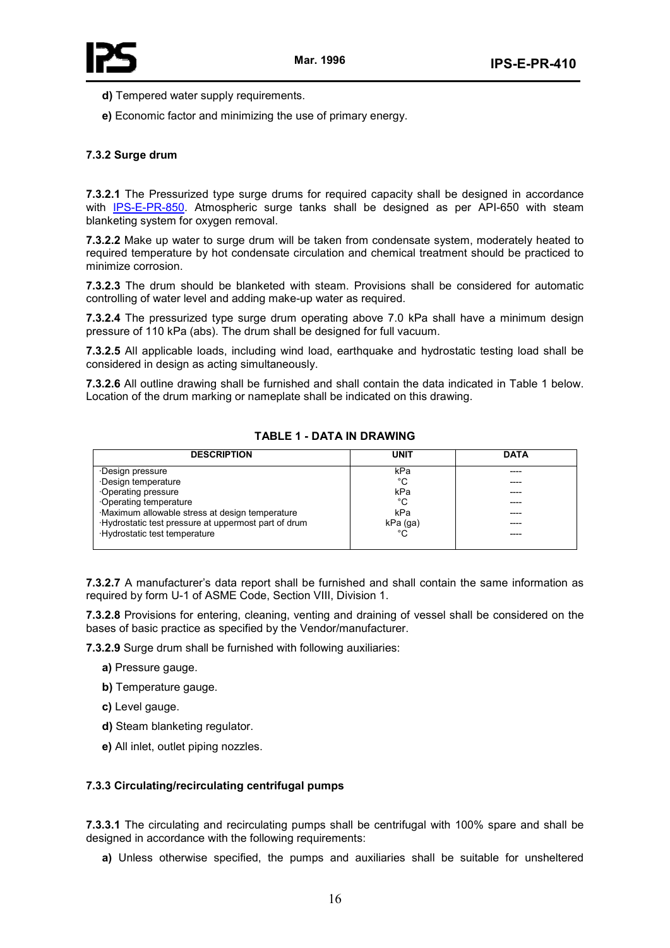



- **d)** Tempered water supply requirements.
- **e)** Economic factor and minimizing the use of primary energy.

# **7.3.2 Surge drum**

**7.3.2.1** The Pressurized type surge drums for required capacity shall be designed in accordance with IPS-E-PR-850. Atmospheric surge tanks shall be designed as per API-650 with steam blanketing system for oxygen removal.

**7.3.2.2** Make up water to surge drum will be taken from condensate system, moderately heated to required temperature by hot condensate circulation and chemical treatment should be practiced to minimize corrosion.

**7.3.2.3** The drum should be blanketed with steam. Provisions shall be considered for automatic controlling of water level and adding make-up water as required.

**7.3.2.4** The pressurized type surge drum operating above 7.0 kPa shall have a minimum design pressure of 110 kPa (abs). The drum shall be designed for full vacuum.

**7.3.2.5** All applicable loads, including wind load, earthquake and hydrostatic testing load shall be considered in design as acting simultaneously.

**7.3.2.6** All outline drawing shall be furnished and shall contain the data indicated in Table 1 below. Location of the drum marking or nameplate shall be indicated on this drawing.

| <b>DESCRIPTION</b>                                   | <b>UNIT</b> | <b>DATA</b> |
|------------------------------------------------------|-------------|-------------|
| Design pressure                                      | kPa         | ----        |
| Design temperature                                   | °C          |             |
| Operating pressure                                   | kPa         |             |
| Operating temperature                                | °C          |             |
| Maximum allowable stress at design temperature       | kPa         |             |
| ·Hydrostatic test pressure at uppermost part of drum | kPa (ga)    |             |
| ·Hydrostatic test temperature                        | °C          |             |
|                                                      |             |             |

## **TABLE 1 - DATA IN DRAWING**

**7.3.2.7** A manufacturer's data report shall be furnished and shall contain the same information as required by form U-1 of ASME Code, Section VIII, Division 1.

**7.3.2.8** Provisions for entering, cleaning, venting and draining of vessel shall be considered on the bases of basic practice as specified by the Vendor/manufacturer.

**7.3.2.9** Surge drum shall be furnished with following auxiliaries:

- **a)** Pressure gauge.
- **b)** Temperature gauge.
- **c)** Level gauge.
- **d)** Steam blanketing regulator.
- **e)** All inlet, outlet piping nozzles.

# **7.3.3 Circulating/recirculating centrifugal pumps**

**7.3.3.1** The circulating and recirculating pumps shall be centrifugal with 100% spare and shall be designed in accordance with the following requirements:

**a)** Unless otherwise specified, the pumps and auxiliaries shall be suitable for unsheltered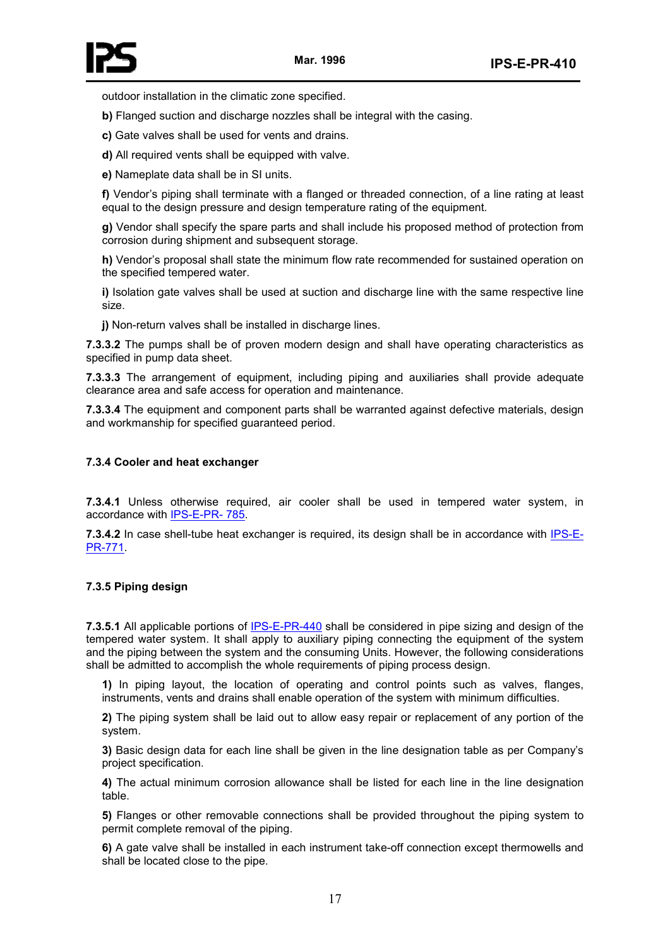

outdoor installation in the climatic zone specified.

**b)** Flanged suction and discharge nozzles shall be integral with the casing.

**c)** Gate valves shall be used for vents and drains.

**d)** All required vents shall be equipped with valve.

**e)** Nameplate data shall be in SI units.

**f)** Vendor's piping shall terminate with a flanged or threaded connection, of a line rating at least equal to the design pressure and design temperature rating of the equipment.

**g)** Vendor shall specify the spare parts and shall include his proposed method of protection from corrosion during shipment and subsequent storage.

**h)** Vendor's proposal shall state the minimum flow rate recommended for sustained operation on the specified tempered water.

**i)** Isolation gate valves shall be used at suction and discharge line with the same respective line size.

**j)** Non-return valves shall be installed in discharge lines.

**7.3.3.2** The pumps shall be of proven modern design and shall have operating characteristics as specified in pump data sheet.

**7.3.3.3** The arrangement of equipment, including piping and auxiliaries shall provide adequate clearance area and safe access for operation and maintenance.

**7.3.3.4** The equipment and component parts shall be warranted against defective materials, design and workmanship for specified guaranteed period.

#### **7.3.4 Cooler and heat exchanger**

**7.3.4.1** Unless otherwise required, air cooler shall be used in tempered water system, in accordance with IPS-E-PR- 785.

**7.3.4.2** In case shell-tube heat exchanger is required, its design shall be in accordance with IPS-E-PR-771.

#### **7.3.5 Piping design**

**7.3.5.1** All applicable portions of IPS-E-PR-440 shall be considered in pipe sizing and design of the tempered water system. It shall apply to auxiliary piping connecting the equipment of the system and the piping between the system and the consuming Units. However, the following considerations shall be admitted to accomplish the whole requirements of piping process design.

**1)** In piping layout, the location of operating and control points such as valves, flanges, instruments, vents and drains shall enable operation of the system with minimum difficulties.

**2)** The piping system shall be laid out to allow easy repair or replacement of any portion of the system.

**3)** Basic design data for each line shall be given in the line designation table as per Company's project specification.

**4)** The actual minimum corrosion allowance shall be listed for each line in the line designation table.

**5)** Flanges or other removable connections shall be provided throughout the piping system to permit complete removal of the piping.

**6)** A gate valve shall be installed in each instrument take-off connection except thermowells and shall be located close to the pipe.